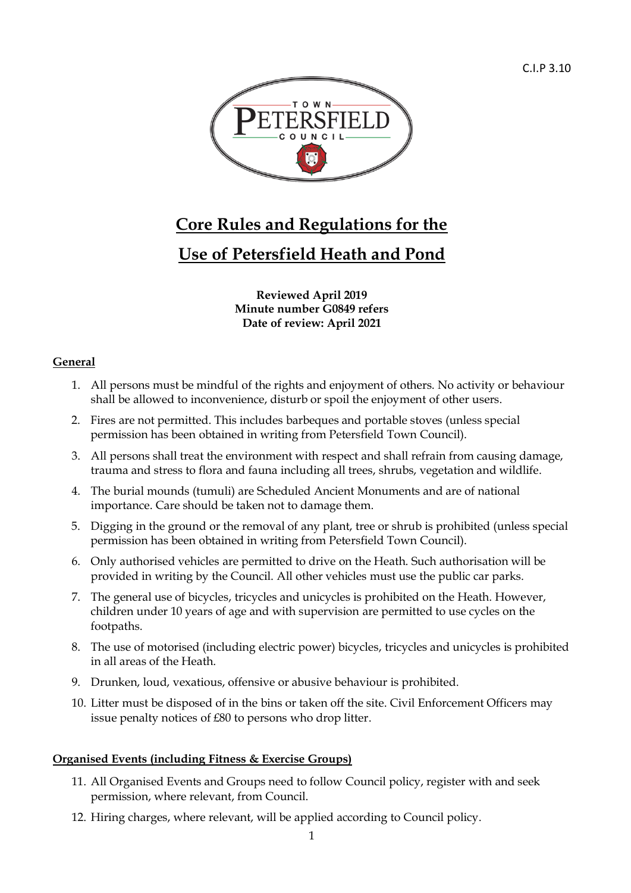

# **Core Rules and Regulations for the**

# **Use of Petersfield Heath and Pond**

**Reviewed April 2019 Minute number G0849 refers Date of review: April 2021**

## **General**

- 1. All persons must be mindful of the rights and enjoyment of others. No activity or behaviour shall be allowed to inconvenience, disturb or spoil the enjoyment of other users.
- 2. Fires are not permitted. This includes barbeques and portable stoves (unless special permission has been obtained in writing from Petersfield Town Council).
- 3. All persons shall treat the environment with respect and shall refrain from causing damage, trauma and stress to flora and fauna including all trees, shrubs, vegetation and wildlife.
- 4. The burial mounds (tumuli) are Scheduled Ancient Monuments and are of national importance. Care should be taken not to damage them.
- 5. Digging in the ground or the removal of any plant, tree or shrub is prohibited (unless special permission has been obtained in writing from Petersfield Town Council).
- 6. Only authorised vehicles are permitted to drive on the Heath. Such authorisation will be provided in writing by the Council. All other vehicles must use the public car parks.
- 7. The general use of bicycles, tricycles and unicycles is prohibited on the Heath. However, children under 10 years of age and with supervision are permitted to use cycles on the footpaths.
- 8. The use of motorised (including electric power) bicycles, tricycles and unicycles is prohibited in all areas of the Heath.
- 9. Drunken, loud, vexatious, offensive or abusive behaviour is prohibited.
- 10. Litter must be disposed of in the bins or taken off the site. Civil Enforcement Officers may issue penalty notices of £80 to persons who drop litter.

## **Organised Events (including Fitness & Exercise Groups)**

- 11. All Organised Events and Groups need to follow Council policy, register with and seek permission, where relevant, from Council.
- 12. Hiring charges, where relevant, will be applied according to Council policy.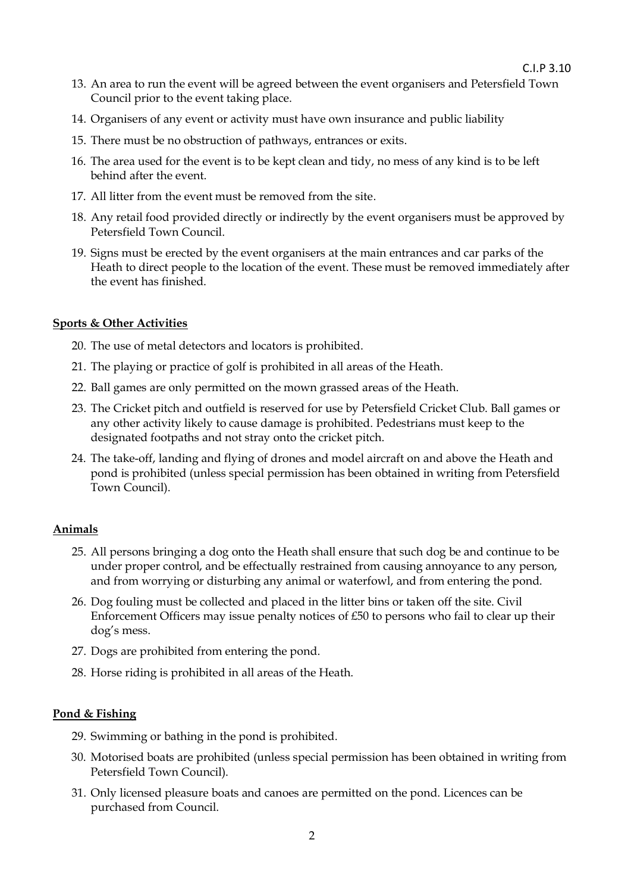C.I.P 3.10

- 13. An area to run the event will be agreed between the event organisers and Petersfield Town Council prior to the event taking place.
- 14. Organisers of any event or activity must have own insurance and public liability
- 15. There must be no obstruction of pathways, entrances or exits.
- 16. The area used for the event is to be kept clean and tidy, no mess of any kind is to be left behind after the event.
- 17. All litter from the event must be removed from the site.
- 18. Any retail food provided directly or indirectly by the event organisers must be approved by Petersfield Town Council.
- 19. Signs must be erected by the event organisers at the main entrances and car parks of the Heath to direct people to the location of the event. These must be removed immediately after the event has finished.

#### **Sports & Other Activities**

- 20. The use of metal detectors and locators is prohibited.
- 21. The playing or practice of golf is prohibited in all areas of the Heath.
- 22. Ball games are only permitted on the mown grassed areas of the Heath.
- 23. The Cricket pitch and outfield is reserved for use by Petersfield Cricket Club. Ball games or any other activity likely to cause damage is prohibited. Pedestrians must keep to the designated footpaths and not stray onto the cricket pitch.
- 24. The take-off, landing and flying of drones and model aircraft on and above the Heath and pond is prohibited (unless special permission has been obtained in writing from Petersfield Town Council).

### **Animals**

- 25. All persons bringing a dog onto the Heath shall ensure that such dog be and continue to be under proper control, and be effectually restrained from causing annoyance to any person, and from worrying or disturbing any animal or waterfowl, and from entering the pond.
- 26. Dog fouling must be collected and placed in the litter bins or taken off the site. Civil Enforcement Officers may issue penalty notices of £50 to persons who fail to clear up their dog's mess.
- 27. Dogs are prohibited from entering the pond.
- 28. Horse riding is prohibited in all areas of the Heath.

### **Pond & Fishing**

- 29. Swimming or bathing in the pond is prohibited.
- 30. Motorised boats are prohibited (unless special permission has been obtained in writing from Petersfield Town Council).
- 31. Only licensed pleasure boats and canoes are permitted on the pond. Licences can be purchased from Council.